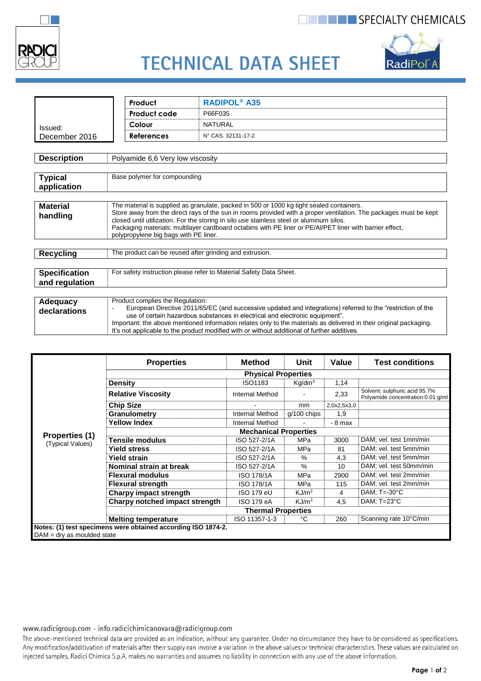

### **THE EXPECIALTY CHEMICALS**



# **TECHNICAL DATA SHEET**

|                                        | <b>RADIPOL® A35</b><br>Product                                                                                                                                                                                                                                                                                                                                                                                                                                 |                                                                                                             |  |  |  |
|----------------------------------------|----------------------------------------------------------------------------------------------------------------------------------------------------------------------------------------------------------------------------------------------------------------------------------------------------------------------------------------------------------------------------------------------------------------------------------------------------------------|-------------------------------------------------------------------------------------------------------------|--|--|--|
|                                        | Product code                                                                                                                                                                                                                                                                                                                                                                                                                                                   | P66F035                                                                                                     |  |  |  |
| Issued:                                | Colour                                                                                                                                                                                                                                                                                                                                                                                                                                                         | <b>NATURAL</b>                                                                                              |  |  |  |
| December 2016                          | <b>References</b>                                                                                                                                                                                                                                                                                                                                                                                                                                              | N° CAS. 32131-17-2                                                                                          |  |  |  |
|                                        |                                                                                                                                                                                                                                                                                                                                                                                                                                                                |                                                                                                             |  |  |  |
| <b>Description</b>                     | Polyamide 6,6 Very low viscosity                                                                                                                                                                                                                                                                                                                                                                                                                               |                                                                                                             |  |  |  |
|                                        |                                                                                                                                                                                                                                                                                                                                                                                                                                                                |                                                                                                             |  |  |  |
| <b>Typical</b><br>application          | Base polymer for compounding                                                                                                                                                                                                                                                                                                                                                                                                                                   |                                                                                                             |  |  |  |
|                                        |                                                                                                                                                                                                                                                                                                                                                                                                                                                                |                                                                                                             |  |  |  |
| <b>Material</b><br>handling            | The material is supplied as granulate, packed in 500 or 1000 kg tight sealed containers.<br>Store away from the direct rays of the sun in rooms provided with a proper ventilation. The packages must be kept<br>closed until utilization. For the storing in silo use stainless steel or aluminum silos.<br>Packaging materials: multilayer cardboard octabins with PE liner or PE/Al/PET liner with barrier effect,<br>polypropylene big bags with PE liner. |                                                                                                             |  |  |  |
|                                        |                                                                                                                                                                                                                                                                                                                                                                                                                                                                |                                                                                                             |  |  |  |
| <b>Recycling</b>                       | The product can be reused after grinding and extrusion.                                                                                                                                                                                                                                                                                                                                                                                                        |                                                                                                             |  |  |  |
|                                        |                                                                                                                                                                                                                                                                                                                                                                                                                                                                |                                                                                                             |  |  |  |
| <b>Specification</b><br>and regulation | For safety instruction please refer to Material Safety Data Sheet.                                                                                                                                                                                                                                                                                                                                                                                             |                                                                                                             |  |  |  |
|                                        |                                                                                                                                                                                                                                                                                                                                                                                                                                                                |                                                                                                             |  |  |  |
| Adequacy                               | Product complies the Regulation:                                                                                                                                                                                                                                                                                                                                                                                                                               | European Directive 2011/65/EC (and successive undated and integrations) referred to the "restriction of the |  |  |  |

|  | Adequacy<br>declarations | Product complies the Regulation:<br>European Directive 2011/65/EC (and successive updated and integrations) referred to the "restriction of the<br>use of certain hazardous substances in electrical and electronic equipment".<br>Important: the above mentioned information relates only to the materials as delivered in their original packaging.<br>It's not applicable to the product modified with or without additional of further additives. |
|--|--------------------------|-------------------------------------------------------------------------------------------------------------------------------------------------------------------------------------------------------------------------------------------------------------------------------------------------------------------------------------------------------------------------------------------------------------------------------------------------------|
|--|--------------------------|-------------------------------------------------------------------------------------------------------------------------------------------------------------------------------------------------------------------------------------------------------------------------------------------------------------------------------------------------------------------------------------------------------------------------------------------------------|

|                                    | <b>Properties</b>                                             | <b>Method</b>          | Unit               | Value       | <b>Test conditions</b>                                             |  |  |
|------------------------------------|---------------------------------------------------------------|------------------------|--------------------|-------------|--------------------------------------------------------------------|--|--|
|                                    | <b>Physical Properties</b>                                    |                        |                    |             |                                                                    |  |  |
|                                    | <b>Density</b>                                                | ISO1183                | Kq/dm <sup>3</sup> | 1,14        |                                                                    |  |  |
|                                    | <b>Relative Viscosity</b>                                     | <b>Internal Method</b> |                    | 2,33        | Solvent: sulphuric acid 95.7%<br>Polyamide concentration:0.01 g/ml |  |  |
|                                    | <b>Chip Size</b>                                              |                        | mm                 | 2,0x2,5x3,0 |                                                                    |  |  |
|                                    | Granulometry                                                  | <b>Internal Method</b> | g/100 chips        | 1,9         |                                                                    |  |  |
|                                    | <b>Yellow Index</b>                                           | <b>Internal Method</b> |                    | - 8 max     |                                                                    |  |  |
|                                    | <b>Mechanical Properties</b>                                  |                        |                    |             |                                                                    |  |  |
| Properties (1)<br>(Typical Values) | Tensile modulus                                               | ISO 527-2/1A           | MPa                | 3000        | DAM; vel. test 1mm/min                                             |  |  |
|                                    | <b>Yield stress</b>                                           | ISO 527-2/1A           | MPa                | 81          | DAM; vel. test 5mm/min                                             |  |  |
|                                    | <b>Yield strain</b>                                           | ISO 527-2/1A           | %                  | 4,3         | DAM; vel. test 5mm/min                                             |  |  |
|                                    | Nominal strain at break                                       | ISO 527-2/1A           | $\%$               | 10          | DAM; vel. test 50mm/min                                            |  |  |
|                                    | <b>Flexural modulus</b>                                       | <b>ISO 178/1A</b>      | MPa                | 2900        | DAM; vel. test 2mm/min                                             |  |  |
|                                    | <b>Flexural strength</b>                                      | <b>ISO 178/1A</b>      | MPa                | 115         | DAM; vel. test 2mm/min                                             |  |  |
|                                    | <b>Charpy impact strength</b>                                 | <b>ISO 179 eU</b>      | KJ/m <sup>2</sup>  | 4           | DAM; $T = 30^{\circ}$ C                                            |  |  |
|                                    | Charpy notched impact strength                                | <b>ISO 179 eA</b>      | KJ/m <sup>2</sup>  | 4,5         | DAM; $T=23^{\circ}C$                                               |  |  |
|                                    | <b>Thermal Properties</b>                                     |                        |                    |             |                                                                    |  |  |
|                                    | <b>Melting temperature</b>                                    | ISO 11357-1-3          | °C                 | 260         | Scanning rate 10°C/min                                             |  |  |
| $DAM = dry$ as moulded state       | Notes: (1) test specimens were obtained according ISO 1874-2. |                        |                    |             |                                                                    |  |  |

#### www.radicigroup.com - info.radicichimicanovara@radicigroup.com

The above-mentioned technical data are provided as an indication, without any guarantee. Under no circumstance they have to be considered as specifications. Any modification/additivation of materials after their supply can involve a variation in the above values or technical characteristics. These values are calculated on injected samples. Radici Chimica S.p.A. makes no warranties and assumes no liability in connection with any use of the above information.